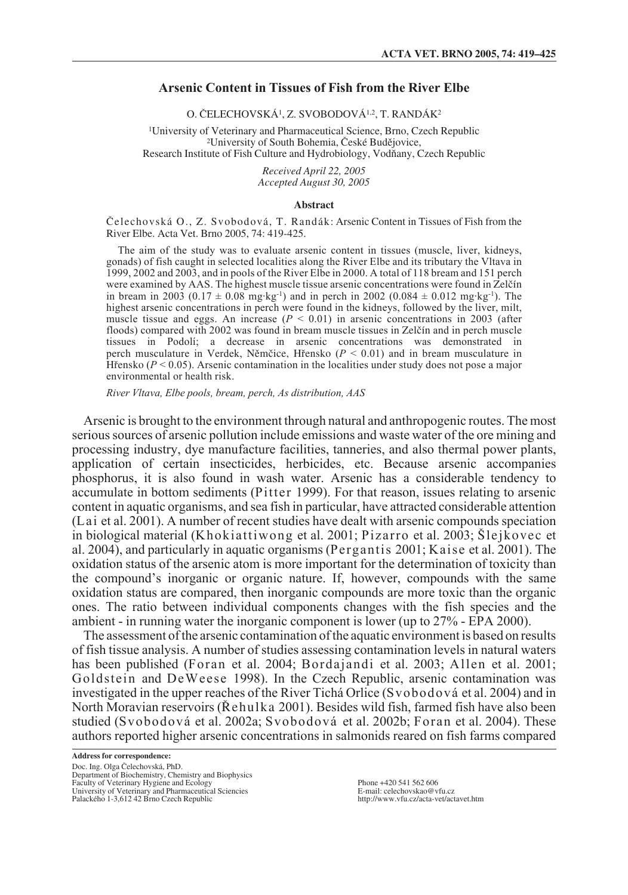# **Arsenic Content in Tissues of Fish from the River Elbe**

O. âELECHOVSKÁ1, Z. SVOBODOVÁ1,2, T. RANDÁK2

1University of Veterinary and Pharmaceutical Science, Brno, Czech Republic <sup>2</sup>University of South Bohemia, České Budějovice, Research Institute of Fish Culture and Hydrobiology, Vodňany, Czech Republic

> *Received April 22, 2005 Accepted August 30, 2005*

### **Abstract**

Čelechovská O., Z. Svobodová, T. Randák: Arsenic Content in Tissues of Fish from the River Elbe. Acta Vet. Brno 2005, 74: 419-425.

The aim of the study was to evaluate arsenic content in tissues (muscle, liver, kidneys, gonads) of fish caught in selected localities along the River Elbe and its tributary the Vltava in 1999, 2002 and 2003, and in pools of the River Elbe in 2000. A total of 118 bream and 151 perch were examined by AAS. The highest muscle tissue arsenic concentrations were found in Zelčín in bream in 2003 (0.17  $\pm$  0.08 mg·kg<sup>-1</sup>) and in perch in 2002 (0.084  $\pm$  0.012 mg·kg<sup>-1</sup>). The highest arsenic concentrations in perch were found in the kidneys, followed by the liver, milt, muscle tissue and eggs. An increase  $(P < 0.01)$  in arsenic concentrations in 2003 (after floods) compared with 2002 was found in bream muscle tissues in Zelčín and in perch muscle tissues in Podolí; a decrease in arsenic concentrations was demonstrated in perch musculature in Verdek, Nûmãice, Hfiensko (*P* < 0.01) and in bream musculature in H  $\hat{H}$  ensko ( $P < 0.05$ ). Arsenic contamination in the localities under study does not pose a major environmental or health risk.

*River Vltava, Elbe pools, bream, perch, As distribution, AAS*

Arsenic is brought to the environment through natural and anthropogenic routes. The most serious sources of arsenic pollution include emissions and waste water of the ore mining and processing industry, dye manufacture facilities, tanneries, and also thermal power plants, application of certain insecticides, herbicides, etc. Because arsenic accompanies phosphorus, it is also found in wash water. Arsenic has a considerable tendency to accumulate in bottom sediments (Pitter 1999). For that reason, issues relating to arsenic content in aquatic organisms, and sea fish in particular, have attracted considerable attention (Lai et al. 2001). A number of recent studies have dealt with arsenic compounds speciation in biological material (Khokiattiwong et al. 2001; Pizarro et al. 2003; Šlejkovec et al. 2004), and particularly in aquatic organisms (Pergantis 2001; Kaise et al. 2001). The oxidation status of the arsenic atom is more important for the determination of toxicity than the compound's inorganic or organic nature. If, however, compounds with the same oxidation status are compared, then inorganic compounds are more toxic than the organic ones. The ratio between individual components changes with the fish species and the ambient - in running water the inorganic component is lower (up to 27% - EPA 2000).

The assessment of the arsenic contamination of the aquatic environment is based on results of fish tissue analysis. A number of studies assessing contamination levels in natural waters has been published (Foran et al. 2004; Bordajandi et al. 2003; Allen et al. 2001; Goldstein and DeWeese 1998). In the Czech Republic, arsenic contamination was investigated in the upper reaches of the River Tichá Orlice (Svobodová et al. 2004) and in North Moravian reservoirs (Rehulka 2001). Besides wild fish, farmed fish have also been studied (Svobodová et al. 2002a; Svobodová et al. 2002b; Foran et al. 2004). These authors reported higher arsenic concentrations in salmonids reared on fish farms compared

**Address for correspondence:** Doc. Ing. Olga Čelechovská, PhD. Department of Biochemistry, Chemistry and Biophysics Faculty of Veterinary Hygiene and Ecology University of Veterinary and Pharmaceutical Sciencies Palackého 1-3,612 42 Brno Czech Republic

Phone +420 541 562 606 E-mail: celechovskao@vfu.cz http://www.vfu.cz/acta-vet/actavet.htm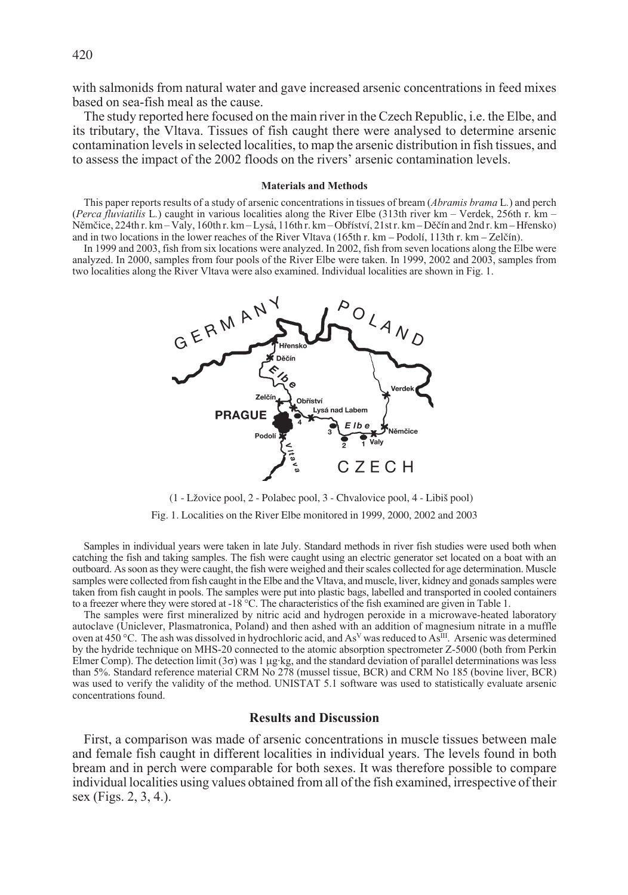with salmonids from natural water and gave increased arsenic concentrations in feed mixes based on sea-fish meal as the cause.

The study reported here focused on the main river in the Czech Republic, i.e. the Elbe, and its tributary, the Vltava. Tissues of fish caught there were analysed to determine arsenic contamination levels in selected localities, to map the arsenic distribution in fish tissues, and to assess the impact of the 2002 floods on the rivers' arsenic contamination levels.

### **Materials and Methods**

This paper reports results of a study of arsenic concentrations in tissues of bream (*Abramis brama* L*.*) and perch (*Perca fluviatilis* L*.*) caught in various localities along the River Elbe (313th river km – Verdek, 256th r. km – Němčice, 224th r. km – Valy, 160th r. km – Lysá, 116th r. km – Obříství, 21st r. km – Děčín and 2nd r. km – Hřensko) and in two locations in the lower reaches of the River Vltava (165th r. km – Podolí, 113th r. km – Zelãín).

In 1999 and 2003, fish from six locations were analyzed. In 2002, fish from seven locations along the Elbe were analyzed. In 2000, samples from four pools of the River Elbe were taken. In 1999, 2002 and 2003, samples from two localities along the River Vltava were also examined. Individual localities are shown in Fig. 1.



(1 - LÏovice pool, 2 - Polabec pool, 3 - Chvalovice pool, 4 - Libi‰ pool)

Fig. 1. Localities on the River Elbe monitored in 1999, 2000, 2002 and 2003

Samples in individual years were taken in late July. Standard methods in river fish studies were used both when catching the fish and taking samples. The fish were caught using an electric generator set located on a boat with an outboard. As soon as they were caught, the fish were weighed and their scales collected for age determination. Muscle samples were collected from fish caught in the Elbe and the Vltava, and muscle, liver, kidney and gonads samples were taken from fish caught in pools. The samples were put into plastic bags, labelled and transported in cooled containers to a freezer where they were stored at -18 °C. The characteristics of the fish examined are given in Table 1.

The samples were first mineralized by nitric acid and hydrogen peroxide in a microwave-heated laboratory autoclave (Uniclever, Plasmatronica, Poland) and then ashed with an addition of magnesium nitrate in a muffle oven at 450 °C. The ash was dissolved in hydrochloric acid, and As<sup>V</sup> was reduced to As<sup>III</sup>. Arsenic was determined by the hydride technique on MHS-20 connected to the atomic absorption spectrometer Z-5000 (both from Perkin Elmer Comp). The detection limit  $(3\sigma)$  was 1  $\mu$ g·kg, and the standard deviation of parallel determinations was less than 5%. Standard reference material CRM No 278 (mussel tissue, BCR) and CRM No 185 (bovine liver, BCR) was used to verify the validity of the method. UNISTAT 5.1 software was used to statistically evaluate arsenic concentrations found.

## **Results and Discussion**

First, a comparison was made of arsenic concentrations in muscle tissues between male and female fish caught in different localities in individual years. The levels found in both bream and in perch were comparable for both sexes. It was therefore possible to compare individual localities using values obtained from all of the fish examined, irrespective of their sex (Figs. 2, 3, 4.).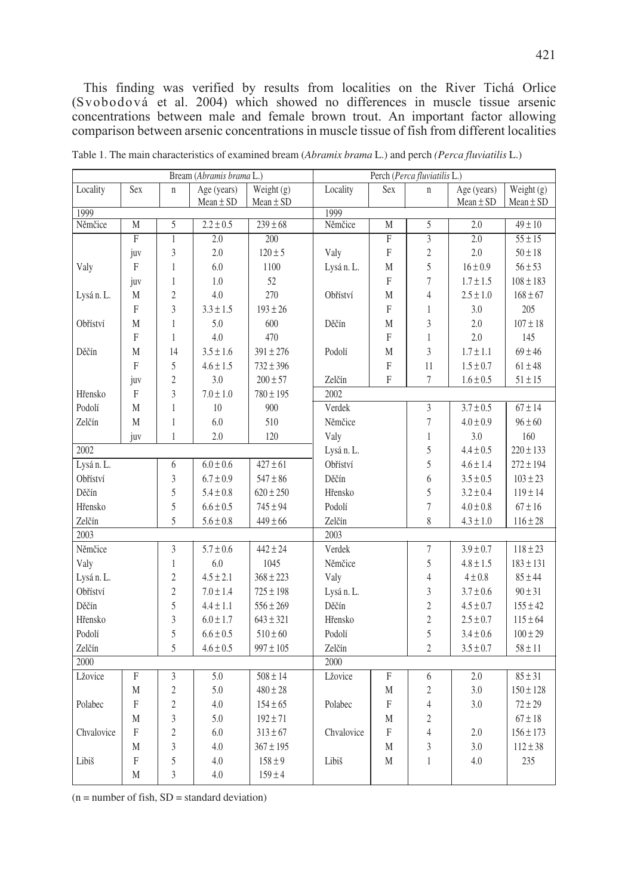This finding was verified by results from localities on the River Tichá Orlice (Svobodová et al. 2004) which showed no differences in muscle tissue arsenic concentrations between male and female brown trout. An important factor allowing comparison between arsenic concentrations in muscle tissue of fish from different localities

| Bream (Abramis brama L.)                      |                |                |               |                  | Perch (Perca fluviatilis L.) |                           |                           |                                |               |
|-----------------------------------------------|----------------|----------------|---------------|------------------|------------------------------|---------------------------|---------------------------|--------------------------------|---------------|
| Locality                                      | Sex            | $\mathbf{n}$   | Age (years)   | Weight $(g)$     | Locality                     | Sex                       | $\mathbf{n}$              | Age (years)                    | Weight $(g)$  |
| 1999                                          |                |                | $Mean \pm SD$ | $Mean \pm SD$    | 1999                         |                           |                           | $Mean \pm SD$                  | $Mean \pm SD$ |
| Němčice                                       | M              | $\overline{5}$ | $2.2 \pm 0.5$ | $239 \pm 68$     | Němčice                      | M                         | 5                         | $\overline{2.0}$               | $49 \pm 10$   |
|                                               | $\overline{F}$ | $\overline{1}$ | 2.0           | $\overline{200}$ |                              | $\overline{\mathrm{F}}$   | $\overline{\overline{3}}$ | $\overline{2.0}$               | $55 \pm 15$   |
|                                               | juv            | $\overline{3}$ | 2.0           | $120 \pm 5$      | Valy                         | $\overline{F}$            | $\overline{2}$            | 2.0                            | $50 \pm 18$   |
| Valy                                          | F              | $\mathbf{1}$   | 6.0           | 1100             | Lysá n. L.                   | М                         | 5                         | $16 \pm 0.9$                   | $56 \pm 53$   |
|                                               | juv            | $\mathbf{1}$   | 1.0           | 52               |                              | F                         | $\overline{7}$            | $1.7 \pm 1.5$                  | $108 \pm 183$ |
| Lysá n. L.                                    | M              | $\overline{2}$ | 4.0           | 270              | Obříství                     | M                         | $\overline{4}$            | $2.5 \pm 1.0$                  | $168 \pm 67$  |
|                                               | F              | $\overline{3}$ | $3.3 \pm 1.5$ | $193 \pm 26$     |                              | F                         | $\mathbf{1}$              | 3.0                            | 205           |
| Obříství                                      | M              | $\mathbf{1}$   | 5.0           | 600              | Děčín                        | M                         | $\overline{3}$            | 2.0                            | $107 \pm 18$  |
|                                               | F              | $\mathbf{1}$   | 4.0           | 470              |                              | F                         | $\mathbf{1}$              | 2.0                            | 145           |
| Děčín                                         | M              | 14             | $3.5 \pm 1.6$ | $391 \pm 276$    | Podolí                       | M                         | 3                         | $1.7 \pm 1.1$                  | $69 \pm 46$   |
|                                               | F              | 5              | $4.6 \pm 1.5$ | $732 \pm 396$    |                              | F                         | 11                        | $1.5 \pm 0.7$                  | $61 \pm 48$   |
|                                               | juv            | $\overline{2}$ | 3.0           | $200 \pm 57$     | Zelčín                       | F                         | $\tau$                    | $1.6 \pm 0.5$                  | $51 \pm 15$   |
| Hřensko                                       | $\rm F$        | $\overline{3}$ | $7.0 \pm 1.0$ | $780 \pm 195$    | 2002                         |                           |                           |                                |               |
| Podolí                                        | M              | $\mathbf{1}$   | 10            | 900              | Verdek                       |                           | $\overline{3}$            | $3.7 \pm 0.5$                  | $67 \pm 14$   |
| Zelčín                                        | M              | $\mathbf{1}$   | 6.0           | 510              | Němčice                      |                           | $\overline{7}$            | $4.0 \pm 0.9$                  | $96 \pm 60$   |
|                                               | juv            | $\mathbf{1}$   | $2.0\,$       | 120              | Valy                         |                           | $\mathbf{1}$              | 3.0                            | 160           |
| 2002                                          |                |                |               | Lysán. L.        |                              | 5                         | $4.4 \pm 0.5$             | $220 \pm 133$                  |               |
| Lysán. L.<br>6                                |                |                | $6.0\pm0.6$   | $427 \pm 61$     | Obříství                     |                           | 5                         | $4.6 \pm 1.4$                  | $272 \pm 194$ |
| Obříství                                      |                | $\overline{3}$ | $6.7 \pm 0.9$ | $547 \pm 86$     | Děčín                        |                           | 6                         | $3.5 \pm 0.5$                  | $103 \pm 23$  |
| Děčín                                         |                | 5              | $5.4 \pm 0.8$ | $620 \pm 250$    | Hřensko                      |                           | 5                         | $3.2 \pm 0.4$                  | $119 \pm 14$  |
| Hřensko                                       |                | 5              | $6.6 \pm 0.5$ | $745 \pm 94$     | Podolí                       |                           | $\tau$                    | $4.0 \pm 0.8$                  | $67 \pm 16$   |
|                                               |                | 5              |               |                  | Zelčín                       |                           | 8                         |                                |               |
| Zelčín<br>$5.6\pm0.8$<br>$449 \pm 66$<br>2003 |                |                |               |                  | 2003                         |                           |                           | $4.3 \pm 1.0$                  | $116 \pm 28$  |
| Němčice                                       |                | $\overline{3}$ | $5.7 \pm 0.6$ | $442 \pm 24$     | Verdek                       |                           | $\overline{\mathcal{I}}$  | $3.9 \pm 0.7$                  | $118 \pm 23$  |
| Valy                                          |                | $\mathbf{1}$   | 6.0           | 1045             | Němčice                      |                           | 5                         | $4.8 \pm 1.5$                  | $183 \pm 131$ |
|                                               |                | $\overline{2}$ | $4.5 \pm 2.1$ | $368 \pm 223$    |                              |                           | $\overline{4}$            |                                | $85 \pm 44$   |
| Lysán. L.<br>Obříství                         |                | $\overline{c}$ | $7.0 \pm 1.4$ | $725 \pm 198$    | Valy                         |                           | $\overline{3}$            | $4 \pm 0.8$                    | $90 \pm 31$   |
| Děčín                                         |                | 5              | $4.4 \pm 1.1$ | $556 \pm 269$    | Lysán. L.<br>Děčín           |                           | $\overline{2}$            | $3.7 \pm 0.6$<br>$4.5 \pm 0.7$ | $155 \pm 42$  |
|                                               |                | $\overline{3}$ |               |                  |                              |                           | $\mathfrak{2}$            |                                |               |
| Hřensko                                       |                |                | $6.0 \pm 1.7$ | $643 \pm 321$    | Hřensko                      |                           |                           | $2.5 \pm 0.7$                  | $115 \pm 64$  |
| Podolí                                        |                | 5<br>5         | $6.6 \pm 0.5$ | $510 \pm 60$     | Podolí                       |                           | 5<br>$\overline{c}$       | $3.4 \pm 0.6$                  | $100 \pm 29$  |
| Zelčín<br>$4.6 \pm 0.5$<br>$997 \pm 105$      |                |                |               |                  | Zelčín                       |                           |                           | $3.5 \pm 0.7$                  | $58 \pm 11$   |
| 2000                                          |                |                |               |                  | 2000                         |                           |                           |                                |               |
| Lžovice                                       | F              | 3              | 5.0           | $508 \pm 14$     | Lžovice                      | $\boldsymbol{\mathrm{F}}$ | 6                         | 2.0                            | $85 \pm 31$   |
|                                               | M              | $\overline{c}$ | 5.0           | $480 \pm 28$     |                              | $\mathbf M$               | $\overline{c}$            | 3.0                            | $150 \pm 128$ |
| Polabec                                       | $\mathbf F$    | $\overline{c}$ | 4.0           | $154 \pm 65$     | Polabec                      | F                         | $\overline{4}$            | 3.0                            | $72 \pm 29$   |
|                                               | M              | 3              | 5.0           | $192 \pm 71$     |                              | М                         | $\sqrt{2}$                |                                | $67\pm18$     |
| Chvalovice                                    | F              | $\overline{2}$ | 6.0           | $313 \pm 67$     | Chvalovice                   | F                         | $\overline{4}$            | 2.0                            | $156 \pm 173$ |
|                                               | M              | 3              | $4.0\,$       | $367 \pm 195$    |                              | M                         | 3                         | 3.0                            | $112 \pm 38$  |
| Libiš                                         | F              | 5              | 4.0           | $158 \pm 9$      | Libiš                        | M                         | $\mathbf{1}$              | 4.0                            | 235           |
|                                               | M              | $\overline{3}$ | 4.0           | $159 \pm 4$      |                              |                           |                           |                                |               |

Table 1. The main characteristics of examined bream (*Abramix brama* L.) and perch *(Perca fluviatilis* L.)

 $(n = number of fish, SD = standard deviation)$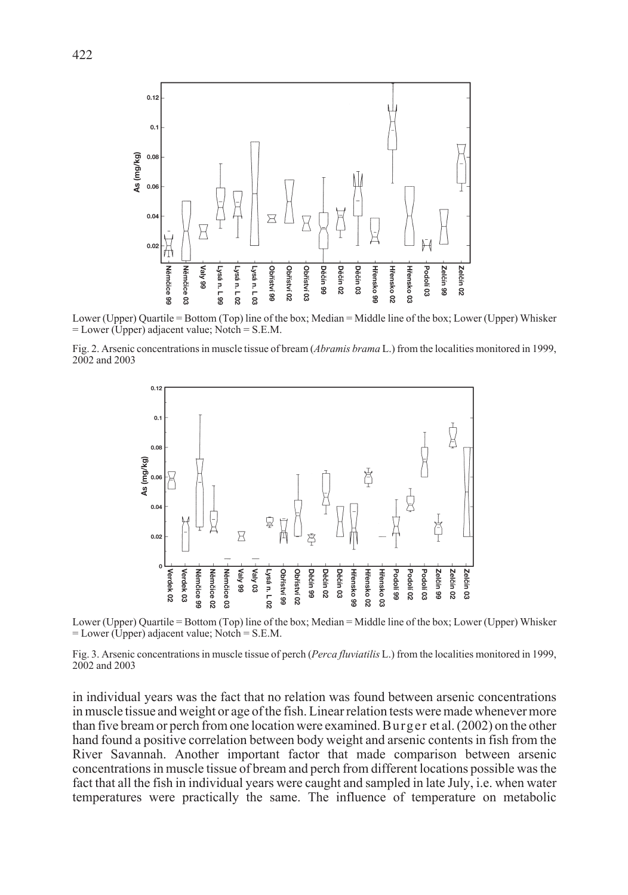

Lower (Upper) Quartile = Bottom (Top) line of the box; Median = Middle line of the box; Lower (Upper) Whisker = Lower (Upper) adjacent value; Notch = S.E.M.

Fig. 2. Arsenic concentrations in muscle tissue of bream (*Abramis brama* L.) from the localities monitored in 1999, 2002 and 2003



Lower (Upper) Quartile = Bottom (Top) line of the box; Median = Middle line of the box; Lower (Upper) Whisker = Lower (Upper) adjacent value; Notch = S.E.M.

Fig. 3. Arsenic concentrations in muscle tissue of perch (*Perca fluviatilis* L.) from the localities monitored in 1999, 2002 and 2003

in individual years was the fact that no relation was found between arsenic concentrations in muscle tissue and weight or age of the fish. Linear relation tests were made whenever more than five bream or perch from one location were examined. Burger et al. (2002) on the other hand found a positive correlation between body weight and arsenic contents in fish from the River Savannah. Another important factor that made comparison between arsenic concentrations in muscle tissue of bream and perch from different locations possible was the fact that all the fish in individual years were caught and sampled in late July, i.e. when water temperatures were practically the same. The influence of temperature on metabolic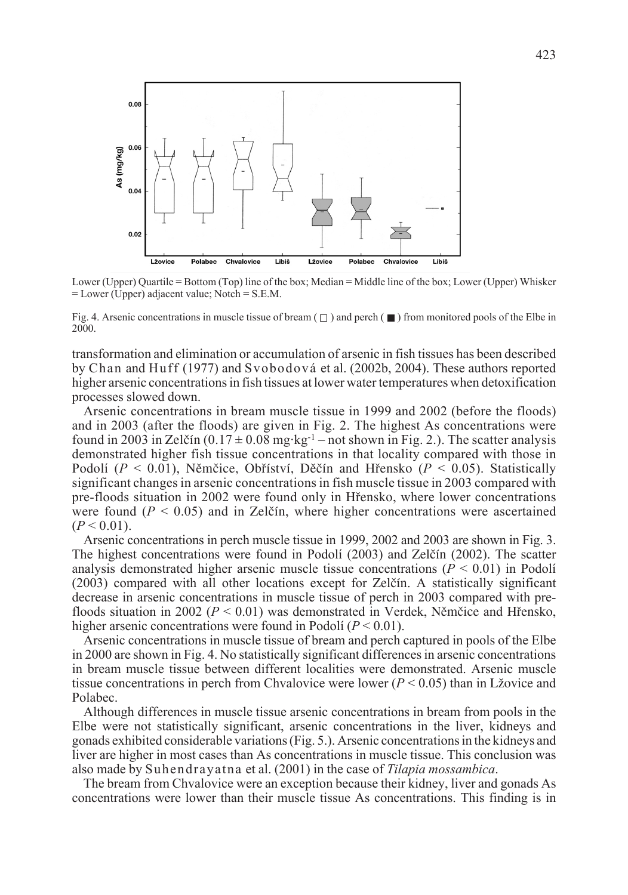

Lower (Upper) Quartile = Bottom (Top) line of the box; Median = Middle line of the box; Lower (Upper) Whisker = Lower (Upper) adjacent value; Notch = S.E.M.

Fig. 4. Arsenic concentrations in muscle tissue of bream  $(\square)$  and perch ( $\blacksquare$ ) from monitored pools of the Elbe in 2000.

transformation and elimination or accumulation of arsenic in fish tissues has been described by Chan and Huff (1977) and Svobodová et al. (2002b, 2004). These authors reported higher arsenic concentrations in fish tissues at lower water temperatures when detoxification processes slowed down.

Arsenic concentrations in bream muscle tissue in 1999 and 2002 (before the floods) and in 2003 (after the floods) are given in Fig. 2. The highest As concentrations were found in 2003 in Zelčín  $(0.17 \pm 0.08 \text{ mg} \cdot \text{kg}^{-1} - \text{not shown in Fig. 2.})$ . The scatter analysis demonstrated higher fish tissue concentrations in that locality compared with those in Podolí (*P* < 0.01), Nûmãice, Obfiíství, Dûãín and Hfiensko (*P* < 0.05). Statistically significant changes in arsenic concentrations in fish muscle tissue in 2003 compared with pre-floods situation in 2002 were found only in Hfiensko, where lower concentrations were found  $(P < 0.05)$  and in Zelčín, where higher concentrations were ascertained  $(P < 0.01)$ .

Arsenic concentrations in perch muscle tissue in 1999, 2002 and 2003 are shown in Fig. 3. The highest concentrations were found in Podolí (2003) and Zelãín (2002). The scatter analysis demonstrated higher arsenic muscle tissue concentrations  $(P < 0.01)$  in Podolí (2003) compared with all other locations except for Zelãín. A statistically significant decrease in arsenic concentrations in muscle tissue of perch in 2003 compared with prefloods situation in 2002 ( $P < 0.01$ ) was demonstrated in Verdek, Němčice and Hřensko, higher arsenic concentrations were found in Podolí (*P* < 0.01).

Arsenic concentrations in muscle tissue of bream and perch captured in pools of the Elbe in 2000 are shown in Fig. 4. No statistically significant differences in arsenic concentrations in bream muscle tissue between different localities were demonstrated. Arsenic muscle tissue concentrations in perch from Chvalovice were lower  $(P < 0.05)$  than in Lžovice and Polabec.

Although differences in muscle tissue arsenic concentrations in bream from pools in the Elbe were not statistically significant, arsenic concentrations in the liver, kidneys and gonads exhibited considerable variations (Fig. 5.). Arsenic concentrations in the kidneys and liver are higher in most cases than As concentrations in muscle tissue. This conclusion was also made by Suhendrayatna et al. (2001) in the case of *Tilapia mossambica*.

The bream from Chvalovice were an exception because their kidney, liver and gonads As concentrations were lower than their muscle tissue As concentrations. This finding is in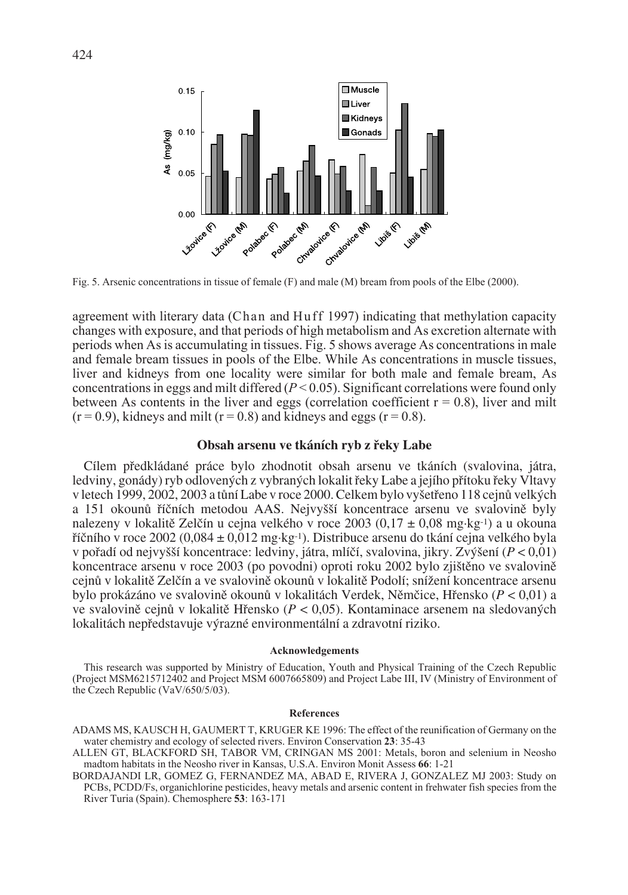

Fig. 5. Arsenic concentrations in tissue of female (F) and male (M) bream from pools of the Elbe (2000).

agreement with literary data (Chan and Huff 1997) indicating that methylation capacity changes with exposure, and that periods of high metabolism and As excretion alternate with periods when As is accumulating in tissues. Fig. 5 shows average As concentrations in male and female bream tissues in pools of the Elbe. While As concentrations in muscle tissues, liver and kidneys from one locality were similar for both male and female bream, As concentrations in eggs and milt differed (*P* < 0.05). Significant correlations were found only between As contents in the liver and eggs (correlation coefficient  $r = 0.8$ ), liver and milt  $(r = 0.9)$ , kidneys and milt  $(r = 0.8)$  and kidneys and eggs  $(r = 0.8)$ .

## Obsah arsenu ve tkáních ryb z řeky Labe

Cílem pfiedkládané práce bylo zhodnotit obsah arsenu ve tkáních (svalovina, játra, ledviny, gonády) ryb odlovených z vybraných lokalit řeky Labe a jejího přítoku řeky Vltavy v letech 1999, 2002, 2003 a tůní Labe v roce 2000. Celkem bylo vyšetřeno 118 cejnů velkých a 151 okounů říčních metodou AAS. Nejvyšší koncentrace arsenu ve svalovině byly nalezeny v lokalitě Zelčín u cejna velkého v roce 2003 (0,17  $\pm$  0,08 mg·kg<sup>-1</sup>) a u okouna fiíãního v roce 2002 (0,084 ± 0,012 mg·kg-1). Distribuce arsenu do tkání cejna velkého byla v pofiadí od nejvy‰‰í koncentrace: ledviny, játra, mlíãí, svalovina, jikry. Zv˘‰ení (*P* < 0,01) koncentrace arsenu v roce 2003 (po povodni) oproti roku 2002 bylo zjištěno ve svalovině cejnů v lokalitě Zelčín a ve svalovině okounů v lokalitě Podolí; snížení koncentrace arsenu bylo prokázáno ve svalovinû okounÛ v lokalitách Verdek, Nûmãice, Hfiensko (*P* < 0,01) a ve svalovině cejnů v lokalitě Hřensko (*P* < 0,05). Kontaminace arsenem na sledovaných lokalitách nepředstavuje výrazné environmentální a zdravotní riziko.

### **Acknowledgements**

This research was supported by Ministry of Education, Youth and Physical Training of the Czech Republic (Project MSM6215712402 and Project MSM 6007665809) and Project Labe III, IV (Ministry of Environment of the Czech Republic (VaV/650/5/03).

### **References**

- ADAMS MS, KAUSCH H, GAUMERT T, KRUGER KE 1996: The effect of the reunification of Germany on the water chemistry and ecology of selected rivers. Environ Conservation **23**: 35-43
- ALLEN GT, BLACKFORD SH, TABOR VM, CRINGAN MS 2001: Metals, boron and selenium in Neosho madtom habitats in the Neosho river in Kansas, U.S.A. Environ Monit Assess **66**: 1-21
- BORDAJANDI LR, GOMEZ G, FERNANDEZ MA, ABAD E, RIVERA J, GONZALEZ MJ 2003: Study on PCBs, PCDD/Fs, organichlorine pesticides, heavy metals and arsenic content in frehwater fish species from the River Turia (Spain). Chemosphere **53**: 163-171